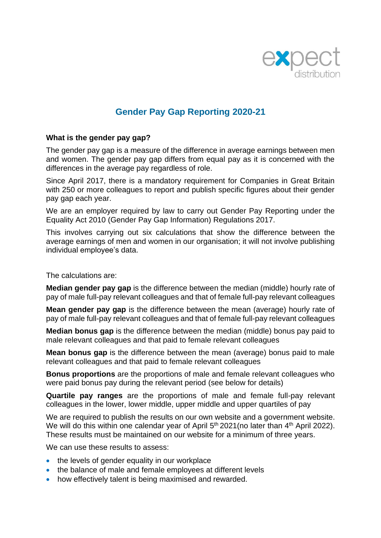

# **Gender Pay Gap Reporting 2020-21**

#### **What is the gender pay gap?**

The gender pay gap is a measure of the difference in average earnings between men and women. The gender pay gap differs from equal pay as it is concerned with the differences in the average pay regardless of role.

Since April 2017, there is a mandatory requirement for Companies in Great Britain with 250 or more colleagues to report and publish specific figures about their gender pay gap each year.

We are an employer required by law to carry out Gender Pay Reporting under the Equality Act 2010 (Gender Pay Gap Information) Regulations 2017.

This involves carrying out six calculations that show the difference between the average earnings of men and women in our organisation; it will not involve publishing individual employee's data.

The calculations are:

**Median gender pay gap** is the difference between the median (middle) hourly rate of pay of male full-pay relevant colleagues and that of female full-pay relevant colleagues

**Mean gender pay gap** is the difference between the mean (average) hourly rate of pay of male full-pay relevant colleagues and that of female full-pay relevant colleagues

**Median bonus gap** is the difference between the median (middle) bonus pay paid to male relevant colleagues and that paid to female relevant colleagues

**Mean bonus gap** is the difference between the mean (average) bonus paid to male relevant colleagues and that paid to female relevant colleagues

**Bonus proportions** are the proportions of male and female relevant colleagues who were paid bonus pay during the relevant period (see below for details)

**Quartile pay ranges** are the proportions of male and female full-pay relevant colleagues in the lower, lower middle, upper middle and upper quartiles of pay

We are required to publish the results on our own website and a government website. We will do this within one calendar year of April 5<sup>th</sup> 2021 (no later than 4<sup>th</sup> April 2022). These results must be maintained on our website for a minimum of three years.

We can use these results to assess:

- the levels of gender equality in our workplace
- the balance of male and female employees at different levels
- how effectively talent is being maximised and rewarded.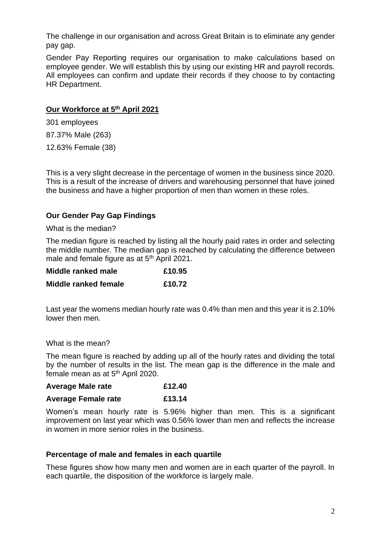The challenge in our organisation and across Great Britain is to eliminate any gender pay gap.

Gender Pay Reporting requires our organisation to make calculations based on employee gender. We will establish this by using our existing HR and payroll records. All employees can confirm and update their records if they choose to by contacting HR Department.

#### **Our Workforce at 5th April 2021**

301 employees 87.37% Male (263)

12.63% Female (38)

This is a very slight decrease in the percentage of women in the business since 2020. This is a result of the increase of drivers and warehousing personnel that have joined the business and have a higher proportion of men than women in these roles.

## **Our Gender Pay Gap Findings**

What is the median?

The median figure is reached by listing all the hourly paid rates in order and selecting the middle number. The median gap is reached by calculating the difference between male and female figure as at 5<sup>th</sup> April 2021.

| Middle ranked male   | £10.95 |
|----------------------|--------|
| Middle ranked female | £10.72 |

Last year the womens median hourly rate was 0.4% than men and this year it is 2.10% lower then men.

#### What is the mean?

The mean figure is reached by adding up all of the hourly rates and dividing the total by the number of results in the list. The mean gap is the difference in the male and female mean as at  $5<sup>th</sup>$  April 2020.

| <b>Average Male rate</b> |  | £12.40 |
|--------------------------|--|--------|
|                          |  |        |

| <b>Average Female rate</b><br>£13.14 |  |
|--------------------------------------|--|
|--------------------------------------|--|

Women's mean hourly rate is 5.96% higher than men. This is a significant improvement on last year which was 0.56% lower than men and reflects the increase in women in more senior roles in the business.

#### **Percentage of male and females in each quartile**

These figures show how many men and women are in each quarter of the payroll. In each quartile, the disposition of the workforce is largely male.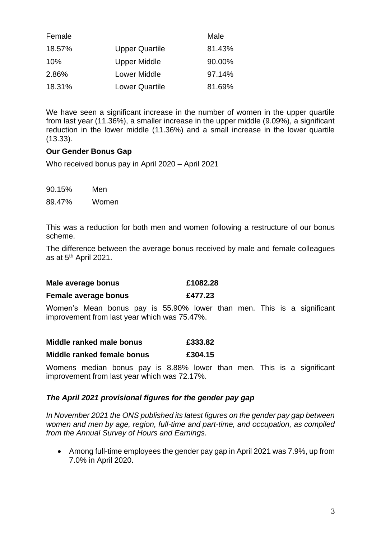| Female |                       | Male   |
|--------|-----------------------|--------|
| 18.57% | <b>Upper Quartile</b> | 81.43% |
| 10%    | <b>Upper Middle</b>   | 90.00% |
| 2.86%  | <b>Lower Middle</b>   | 97.14% |
| 18.31% | <b>Lower Quartile</b> | 81.69% |

We have seen a significant increase in the number of women in the upper quartile from last year (11.36%), a smaller increase in the upper middle (9.09%), a significant reduction in the lower middle (11.36%) and a small increase in the lower quartile (13.33).

### **Our Gender Bonus Gap**

Who received bonus pay in April 2020 – April 2021

90.15% Men 89.47% Women

This was a reduction for both men and women following a restructure of our bonus scheme.

The difference between the average bonus received by male and female colleagues as at 5th April 2021.

| Male average bonus   | £1082.28 |
|----------------------|----------|
| Female average bonus | £477.23  |

Women's Mean bonus pay is 55.90% lower than men. This is a significant improvement from last year which was 75.47%.

| Middle ranked male bonus   | £333.82 |
|----------------------------|---------|
| Middle ranked female bonus | £304.15 |

Womens median bonus pay is 8.88% lower than men. This is a significant improvement from last year which was 72.17%.

## *The April 2021 provisional figures for the gender pay gap*

*In November 2021 the ONS published its latest figures on the gender pay gap between women and men by age, region, full-time and part-time, and occupation, as compiled from the Annual Survey of Hours and Earnings.*

• Among full-time employees the gender pay gap in April 2021 was 7.9%, up from 7.0% in April 2020.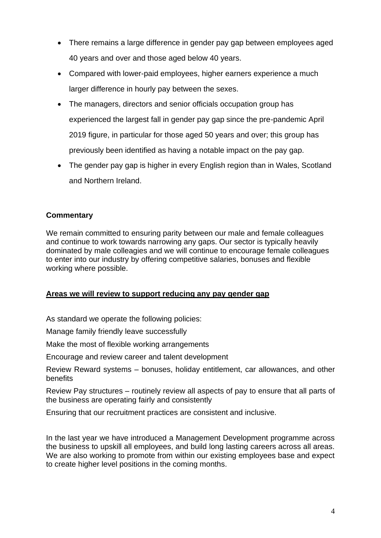- There remains a large difference in gender pay gap between employees aged 40 years and over and those aged below 40 years.
- Compared with lower-paid employees, higher earners experience a much larger difference in hourly pay between the sexes.
- The managers, directors and senior officials occupation group has experienced the largest fall in gender pay gap since the pre-pandemic April 2019 figure, in particular for those aged 50 years and over; this group has previously been identified as having a notable impact on the pay gap.
- The gender pay gap is higher in every English region than in Wales, Scotland and Northern Ireland.

## **Commentary**

We remain committed to ensuring parity between our male and female colleagues and continue to work towards narrowing any gaps. Our sector is typically heavily dominated by male colleagies and we will continue to encourage female colleagues to enter into our industry by offering competitive salaries, bonuses and flexible working where possible.

## **Areas we will review to support reducing any pay gender gap**

As standard we operate the following policies:

Manage family friendly leave successfully

Make the most of flexible working arrangements

Encourage and review career and talent development

Review Reward systems – bonuses, holiday entitlement, car allowances, and other benefits

Review Pay structures – routinely review all aspects of pay to ensure that all parts of the business are operating fairly and consistently

Ensuring that our recruitment practices are consistent and inclusive.

In the last year we have introduced a Management Development programme across the business to upskill all employees, and build long lasting careers across all areas. We are also working to promote from within our existing employees base and expect to create higher level positions in the coming months.